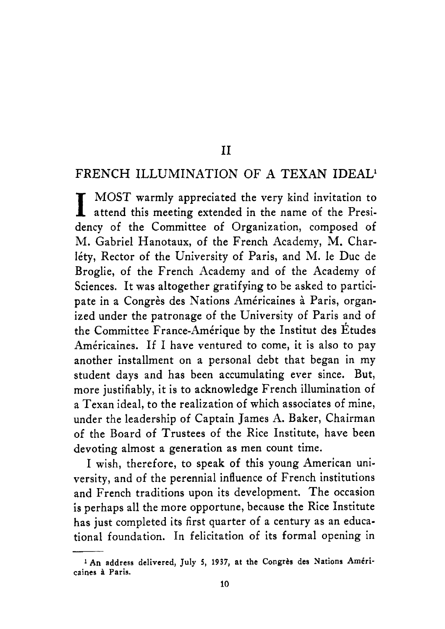### **I1**

### FRENCH ILLUMINATION OF **A** TEXAN IDEAL'

MOST warmly appreciated the very kind invitation to **I** attend this meeting extended in the name of the Presidency of the Committee of Organization, composed of M. Gabriel Hanotaux, of the French Academy, M. Charléty, Rector of the University of Paris, and M. le Duc de Broglie, of the French Academy and of the Academy of Sciences. It was altogether gratifying to be asked to participate in a Congrès des Nations Américaines à Paris, organized under the patronage of the University of Paris and of the Committee France-Amérique by the Institut des Études Américaines. If I have ventured to come, it is also to pay another installment on a personal debt that began in my student days and has been accumulating ever since. But, more justifiably, it is to acknowledge French illumination of a Texan ideal, to the realization of which associates of mine, under the leadership of Captain James A. Baker, Chairman of the Board of Trustees of the Rice Institute, have been devoting almost a generation as men count time.

I wish, therefore, to speak of this young American university, and of the perennial influence of French institutions and French traditions upon its development. The occasion **is** perhaps all the more opportune, because the Rice Institute has just completed its first quarter of a century as an educational foundation. In felicitation of its formal opening in

<sup>&</sup>lt;sup>1</sup> An address delivered, July 5, 1937, at the Congrès des Nations Améri**caines** *h* **Paris.**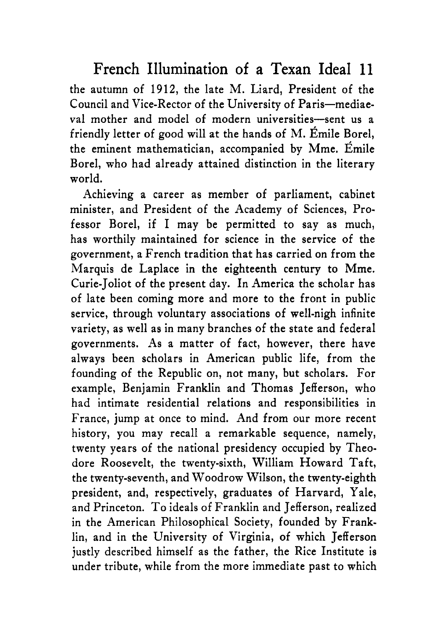the autumn of 1912, the late M. Liard, President of the Council and Vice-Rector of the University of Paris-mediaeval mother and model of modern universities-sent us a friendly letter of good will at the hands of M. Emile Borel, the eminent mathematician, accompanied by Mme. Émile Borel, who had already attained distinction in the literary world.

Achieving a career as member of parliament, cabinet minister, and President of the Academy of Sciences, Professor Borel, if I may be permitted to say as much, has worthily maintained for science in the service of the government, a French tradition that has carried on from the Marquis de Laplace in the eighteenth century to Mme. Curie-Joliot of the present day. In America the scholar has of late been coming more and more to the front in public service, through voluntary associations of well-nigh infinite variety, as well as in many branches of the state and federal governments. As a matter of fact, however, there have always been scholars in American public life, from the founding of the Republic on, not many, but scholars. For example, Benjamin Franklin and Thomas Jefferson, who had intimate residential relations and responsibilities in France, jump at once to mind. And from our more recent history, you may recall a remarkable sequence, namely, twenty years of the national presidency occupied by Theodore Roosevelt, the twenty-sixth, William Howard Taft, the twenty-seventh, and Woodrow Wilson, the twenty-eighth president, and, respectively, graduates of Harvard, Yale, and Princeton. To ideals of Franklin and Jefferson, realized in the American Philosophical Society, founded by Franklin, and in the University of Virginia, of which Jefferson justly described himself as the father, the Rice Institute is under tribute, while from the more immediate past to which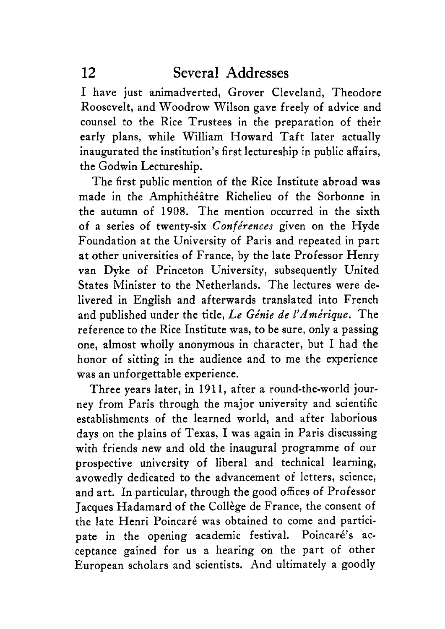I have just animadverted, Grover Cleveland, Theodore Roosevelt, and Woodrow Wilson gave freely of advice and counsel to the Rice Trustees in the preparation of their early plans, while William Howard Taft later actually inaugurated the institution's first lectureship in public affairs, the Godwin Lectureship.

The first public mention of the Rice Institute abroad was made in the Amphithéâtre Richelieu of the Sorbonne in the autumn of 1908. The mention occurred in the sixth of a series of twenty-six *Confirences* given on the Hyde Foundation at the University of Paris and repeated in part at other universities of France, by the late Professor Henry van Dyke of Princeton University, subsequently United States Minister to the Netherlands. The lectures were delivered in English and afterwards translated into French and published under the title, *Le Génie de l'Amérique*. The reference to the Rice Institute was, to be sure, only a passing one, almost wholly anonymous in character, but I had the honor of sitting in the audience and to me the experience was an unforgettable experience.

Three years later, in 1911, after a round-the-world journey from Paris through the major university and scientific establishments of the learned world, and after laborious days on the plains of Texas, I was again in Paris discussing with friends new and old the inaugural programme of our prospective university of liberal and technical learning, avowedly dedicated to the advancement of letters, science, and art. In particular, through the good offices of Professor Jacques Hadamard of the College de France, the consent of the late Henri Poincaré was obtained to come and participate in the opening academic festival. Poincaré's acceptance gained for us a hearing on the part of other European scholars and scientists. And ultimately a goodly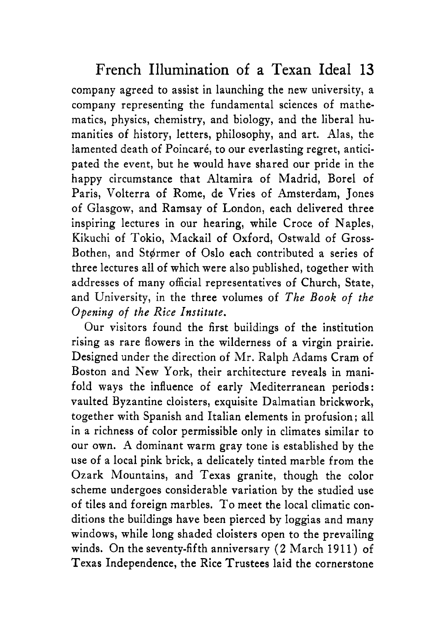company agreed to assist in launching the new university, a company representing the fundamental sciences of mathematics, physics, chemistry, and biology, and the liberal humanities of history, letters, philosophy, and art. Alas, the lamented death of Poincaré, to our everlasting regret, anticipated the event, but he would have shared our pride in the happy circumstance that Altamira of Madrid, Borel of Paris, Volterra of Rome, de Vries of Amsterdam, Jones of Glasgow, and Ramsay of London, each delivered three inspiring lectures in our hearing, while Croce of Naples, Kikuchi of Tokio, Mackail of Oxford, Ostwald of Gross-Bothen, and Størmer of Oslo each contributed a series of three lectures all of which were also published, together with addresses of many official representatives of Church, State, and University, in the three volumes of *The Book of the Opening of the Rice Institute.* 

Our visitors found the first buildings of the institution rising as rare flowers in the wilderness of a virgin prairie. Designed under the direction of Mr. Ralph Adams Cram of Boston and New York, their architecture reveals in manifold ways the influence of early Mediterranean periods : vaulted Byzantine cloisters, exquisite Dalmatian brickwork, together with Spanish and Italian elements in profusion; all in a richness of color permissible only in climates similar to our own. A dominant warm gray tone is established by the use of a local pink brick, a delicately tinted marble from the Ozark Mountains, and Texas granite, though the color scheme undergoes considerable variation by the studied use of tiles and foreign marbles. To meet the local climatic conditions the buildings have been pierced by loggias and many windows, while long shaded cloisters open to the prevailing winds. On the seventy-fifth anniversary (2 March 1911) of Texas Independence, the Rice Trustees laid the cornerstone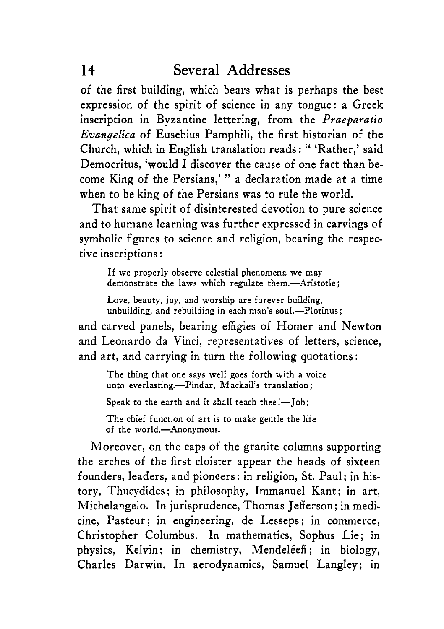of the first building, which bears what is perhaps the best expression of the spirit of science in any tongue: a Greek inscription in Byzantine lettering, from the *Praeparatio Evangelica* of Eusebius Pamphili, the first historian of the Church, which in English translation reads : " 'Rather,' said Democritus, 'would I discover the cause of one fact than become King of the Persians,' " a declaration made at a time when to be king of the Persians was to rule the world.

That same spirit of disinterested devotion to pure science and to humane learning was further expressed in carvings of symbolic figures to science and religion, bearing the respective inscriptions :

**If** we properly observe celestial phenomena we may demonstrate the laws which regulate them.---Aristotle ;

Love, beauty, joy, and worship are forever building, unbuilding, and rebuilding in each man's soul.-Plotinus;

and carved panels, bearing effigies of Homer and Newton and Leonard0 da Vinci, representatives of letters, science, and art, and carrying in turn the following quotations:

The thing that one says well goes forth with a voice unto everlasting.---Pindar, Mackail's translation;

Speak to the earth and it shall teach thee! $-$ Job;

The chief function of art is to make gentle the life of the world.-Anonymous.

Moreover, on the caps of the granite columns supporting the arches of the first cloister appear the heads of sixteen founders, leaders, and pioneers: in religion, St. Paul; in history, Thucydides; in philosophy, Immanuel Kant; in art, Michelangelo. In jurisprudence, Thomas Jefferson ; in medicine, Pasteur ; in engineering, de Lesseps ; in commerce, Christopher Columbus. In mathematics, Sophus Lie; in physics, Kelvin; in chemistry, Mendeléeff; in biology, Charles Darwin. In aerodynamics, Samuel Langley; in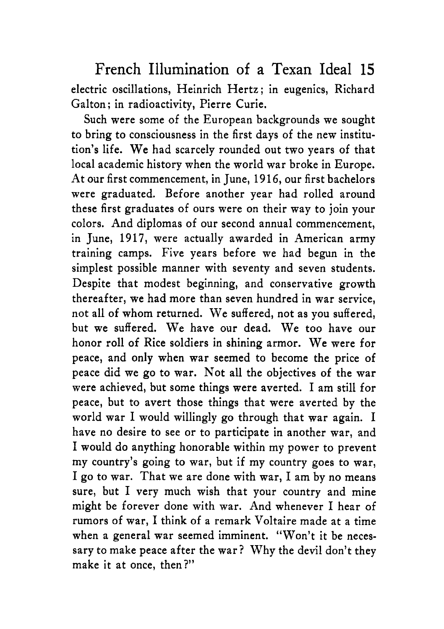French Illumination of a Texan Ideal 15 electric oscillations, Heinrich Hertz ; in eugenics, Richard Galton ; in radioactivity, Pierre Curie.

Such were some of the European backgrounds we sought to bring to consciousness in the first days of the new institution's life. We had scarcely rounded out two years of that local academic history when the world war broke in Europe. At our first commencement, in June, 19 16, our first bachelors were graduated. Before another year had rolled around these first graduates of ours were on their way to join your colors. And diplomas of our second annual commencement, in June, 1917, were actually awarded in American army training camps. Five years before we had begun in the simplest possible manner with seventy and seven students. Despite that modest beginning, and conservative growth thereafter, we had more than seven hundred in war service, not all of whom returned. We suffered, not as you suffered, but we suffered. We have our dead. We too have our honor roll of Rice soldiers in shining armor. We were for peace, and only when war seemed to become the price of peace did we go to war. Not all the objectives of the war were achieved, but some things were averted. I am still for peace, but to avert those things that were averted by the world war I would willingly go through that war again. I have no desire to see or to participate in another war, and I would do anything honorable within my power to prevent my country's going to war, but if my country goes to war, I go to war. That we are done with war, I am by no means sure, but I very much wish that your country and mine might be forever done with war. And whenever I hear of rumors of war, I think of a remark Voltaire made at a time when a general war seemed imminent. "Won't it be necessary to make peace after the war? Why the devil don't they make it at once, then?"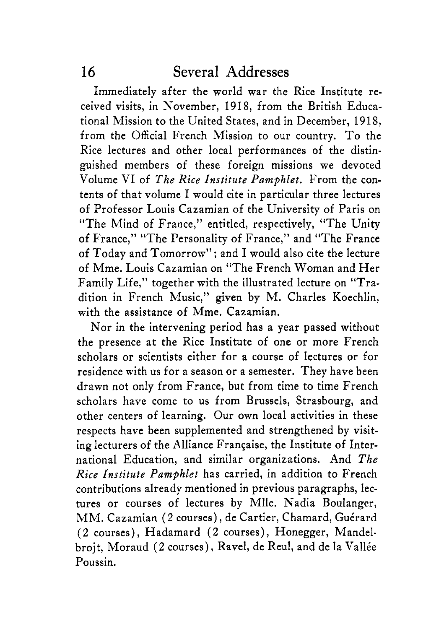Immediately after the world war the Rice Institute received visits, in November, 1918, from the British Educational Mission to the United States, and in December, 1918, from the Official French Mission to our country. To the Rice lectures and other local performances of the distinguished members of these foreign missions we devoted Volume VI of *The Rice Institute Pamphlet.* From the contents of that volume I would cite in particular three lectures of Professor Louis Cazamian of the University of Paris on "The Mind of France," entitled, respectively, "The Unity of France," "The Personality of France," and "The France of Today and Tomorrow"; and I would also cite the lecture of Mme. Louis Cazamian on "The French Woman and Her Family Life," together with the illustrated lecture on "Tradition in French Music,'' given by M. Charles Koechlin, with the assistance of Mme. Cazamian.

Nor in the intervening period has a year passed without the presence at the Rice Institute of one or more French scholars or scientists either for a course of lectures or for residence with us for a season or a semester. They have been drawn not only from France, but from time to time French scholars have come to us from Brussels, Strasbourg, and other centers of learning. Our own local activities in these respects have been supplemented and strengthened by visiting lecturers of the Alliance Française, the Institute of International Education, and similar organizations. And *The Rice Institute Pamphlet* has carried, in addition to French contributions already mentioned in previous paragraphs, lectures or courses of lectures by Mlle. Nadia Boulanger, MM. Cazamian (2 courses), de Cartier, Chamard, Guérard (2 courses), Hadamard (2 courses), Honegger, Mandelbroit, Moraud (2 courses), Ravel, de Reul, and de la Vallée Poussin.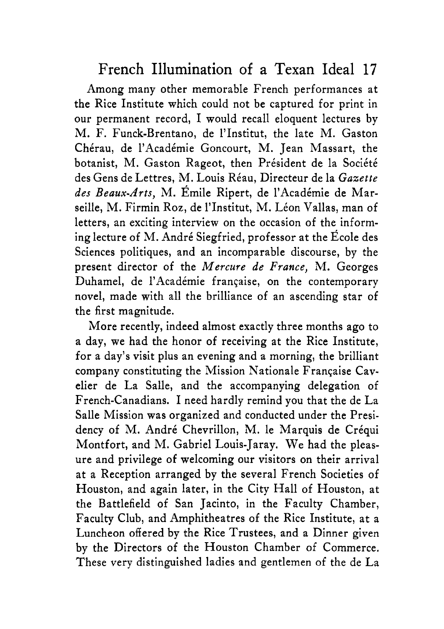Among many other memorable French performances at the Rice Institute which could not be captured for print in our permanent record, I would recall eloquent lectures by M. F. Funck-Brentano, de l'Institut, the late M. Gaston Chérau, de l'Académie Goncourt, M. Jean Massart, the botanist, M. Gaston Rageot, then Président de la Société des Gens de Lettres, M. Louis Réau, Directeur de la *Gazette* des Beaux-Arts, M. Émile Ripert, de l'Académie de Marseille, M. Firmin Roz, de l'Institut, M. Léon Vallas, man of letters, an exciting interview on the occasion of the informing lecture of M. André Siegfried, professor at the École des Sciences politiques, and an incomparable discourse, by the present director of the *Mercure de France,* M. Georges Duhamel, de l'Académie française, on the contemporary novel, made with all the brilliance of an ascending star of the first magnitude.

More recently, indeed almost exactly three months ago to **a** day, we had the honor of receiving at the Rice Institute, for a day's visit plus an evening and a morning, the brilliant company constituting the Mission Nationale Française Cavelier de La Salle, and the accompanying delegation of French-Canadians. I need hardly remind you that the de La Salle Mission was organized and conducted under the Presidency of M. André Chevrillon, M. le Marquis de Créqui Montfort, and M. Gabriel Louis-Jaray. We had the pleasure and privilege of welcoming our visitors on their arrival at a Reception arranged by the several French Societies of Houston, and again later, in the City Hall of Houston, at the Battlefield of San Jacinto, in the Faculty Chamber, Faculty Club, and Amphitheatres of the Rice Institute, at a Luncheon offered by the Rice Trustees, and a Dinner given by the Directors of the Houston Chamber of Commerce. These very distinguished ladies and gentlemen of the de La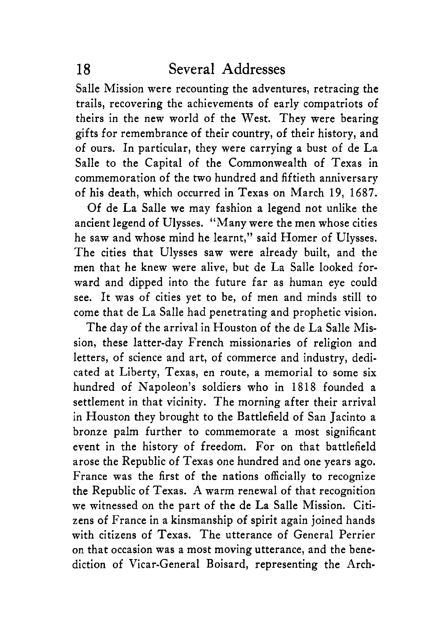Salle Mission were recounting the adventures, retracing the trails, recovering the achievements of early compatriots of theirs in the new world of the West. They were bearing gifts for remembrance of their country, of their history, and of ours. In particular, they were carrying a bust of de La Salle to the Capital of the Commonwealth of Texas in commemoration of the two hundred and fiftieth anniversary of his death, which occurred in Texas on March 19, 1687.

Of de La Salle we may fashion a legend not unlike the ancient legend of Ulysses. "Many were the men whose cities he saw and whose mind he learnt," said Homer of Ulysses. The cities that Ulysses saw were already built, and the men that he knew were alive, but de La Salle looked forward and dipped into the future far as human eye could see. It was of cities yet to be, of men and minds still to come that de La Salle had penetrating and prophetic vision.

The day of the arrival in Houston of the de La Salle Mission, these latter-day French missionaries of religion and letters, of science and art, of commerce and industry, dedicated at Liberty, Texas, en route, a memorial to some six hundred of Napoleon's soldiers who in 1818 founded a settlement in that vicinity. The morning after their arrival in Houston they brought to the Battlefield of San Jacinto a bronze palm further to commemorate a most significant event in the history of freedom. For on that battlefield arose the Republic of Texas one hundred and one years ago. France was the first of the nations officially to recognize the Republic of Texas. **A** warm renewal of that recognition we witnessed on the part of the de La Salle Mission. Citizens of France in a kinsmanship of spirit again joined hands with citizens of Texas. The utterance of General Perrier on that occasion was a most moving utterance, and the benediction of Vicar-General Boisard, representing the Arch-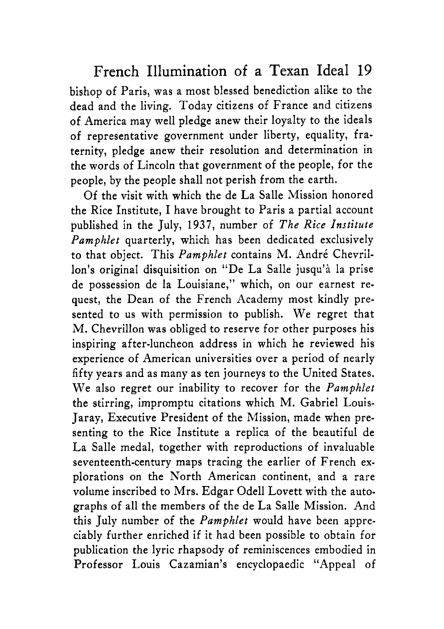bishop of Paris, was a most blessed benediction alike to the dead and the living. Today citizens of France and citizens of America may well pledge anew their loyalty to the ideals of representative government under liberty, equality, fraternity, pledge anew their resolution and determination in the words of Lincoln that government of the people, for the people, by the people shall not perish from the earth.

Of the visit with which the de La Salle Mission honored the Rice Institute, I have brought to Paris a partial account published in the July, 1937, number of *The Rice Institute Pamphlet* quarterly, which has been dedicated exclusively to that object. This *Pamphlet* contains M. André Chevrillon's original disquisition on "De La Salle jusqu'à la prise de possession de la Louisiane," which, on our earnest request, the Dean of the French Academy most kindly presented to us with permission to publish. We regret that M. Chevrillon was obliged to reserve for other purposes his inspiring after-luncheon address in which he reviewed his experience of American universities over a period of nearly fifty years and as many as ten journeys to the United States. We also regret our inability to recover for the *Pamphlet*  the stirring, impromptu citations which M. Gabriel Louis-Jaray, Executive President of the Mission, made when presenting to the Rice Institute a replica of the beautiful de La Salle medal, together with reproductions of invaluable seventeenth-century maps tracing the earlier of French explorations on the North American continent, and a rare volume inscribed to Mrs. Edgar Odell Lovett with the autographs of all the members of the de La Salle Mission. And this July number of the *Pamphlet* would have been appreciably further enriched if it had been possible to obtain for publication the lyric rhapsody of reminiscences embodied in Professor Louis Cazamian's encyclopaedic "Appeal of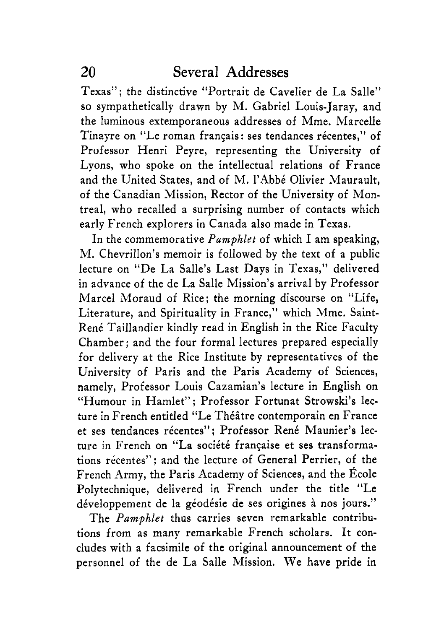Texas": the distinctive "Portrait de Cavelier de La Salle" so sympathetically drawn by M. Gabriel Louis-Jaray, and the luminous extemporaneous addresses of Mme. Marcelle Tinayre on "Le roman francais: ses tendances récentes," of Professor Henri Peyre, representing the University of Lyons, who spoke on the intellectual relations of France and the United States, and of M. l'Abbé Olivier Maurault, of the Canadian Mission, Rector of the University of Montreal, who recalled a surprising number of contacts which early French explorers in Canada also made in Texas.

In the commemorative *Pamphlet* of which I am speaking, **NI.** Chevrillon's memoir is followed by the text of a public lecture on "De La Salle's Last Days in Texas," delivered in advance of the de La Salle Mission's arrival by Professor Marcel Moraud of Rice; the morning discourse on "Life, Literature, and Spirituality in France," which Mme. Saint-René Taillandier kindly read in English in the Rice Faculty Chamber; and the four formal lectures prepared especially for delivery at the Rice Institute by representatives of the University of Paris and the Paris Academy of Sciences, namely, Professor Louis Cazamian's lecture in English on "Humour in Hamlet" ; Professor Fortunat Strowski's lecture in French entitled "Le Théâtre contemporain en France et ses tendances récentes": Professor René Maunier's lecture in French on "La société française et ses transformations récentes"; and the lecture of General Perrier, of the French Army, the Paris Academy of Sciences, and the Ecole Polytechnique, delivered in French under the title "Le développement de la géodésie de ses origines à nos jours."

The *Pamphlet* thus carries seven remarkable contributions from as many remarkable French scholars. It concludes with a facsimile of the original announcement of the personnel of the de La Salle Mission. We have pride in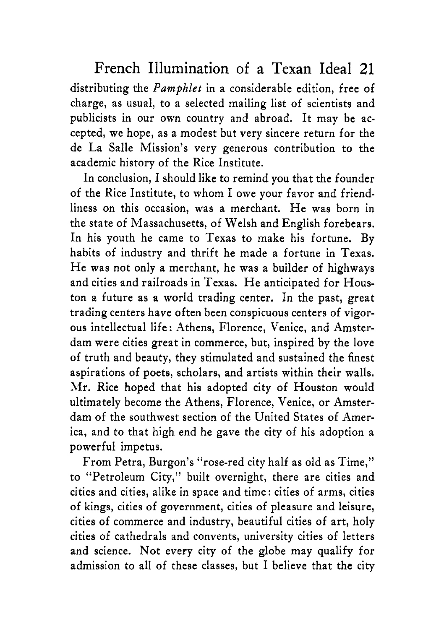distributing the *Pamphlet* in a considerable edition, free of charge, as usual, to a selected mailing list of scientists and publicists in our own country and abroad. It may be accepted, we hope, as a modest but very sincere return for the de La Salle Mission's very generous contribution to the academic history of the Rice Institute.

In conclusion, I should like to remind you that the founder of the Rice Institute, to whom I owe your favor and friendliness on this occasion, was a merchant. He was born in the state of Massachusetts, of Welsh and English forebears. In his youth he came to Texas to make his fortune. By habits of industry and thrift he made a fortune in Texas. He was not only a merchant, he was a builder of highways and cities and railroads in Texas. He anticipated for Houston a future as a world trading center. In the past, great trading centers have often been conspicuous centers of vigorous intellectual life : Athens, Florence, Venice, and Amsterdam were cities great in commerce, but, inspired by the love of truth and beauty, they stimulated and sustained the finest aspirations of poets, scholars, and artists within their walls. Mr. Rice hoped that his adopted city of Houston would ultimately become the Athens, Florence, Venice, or Amsterdam of the southwest section of the United States of America, and to that high end he gave the city of his adoption a powerful impetus.

From Petra, Burgon's "rose-red city half as old as Time," to "Petroleum City," built overnight, there are cities and cities and cities, alike in space and time : cities of arms, cities of kings, cities of government, cities of pleasure and leisure, cities of commerce and industry, beautiful cities of art, holy cities of cathedrals and convents, university cities of letters and science. Not every city of the globe may qualify for admission to all of these classes, but I believe that the city